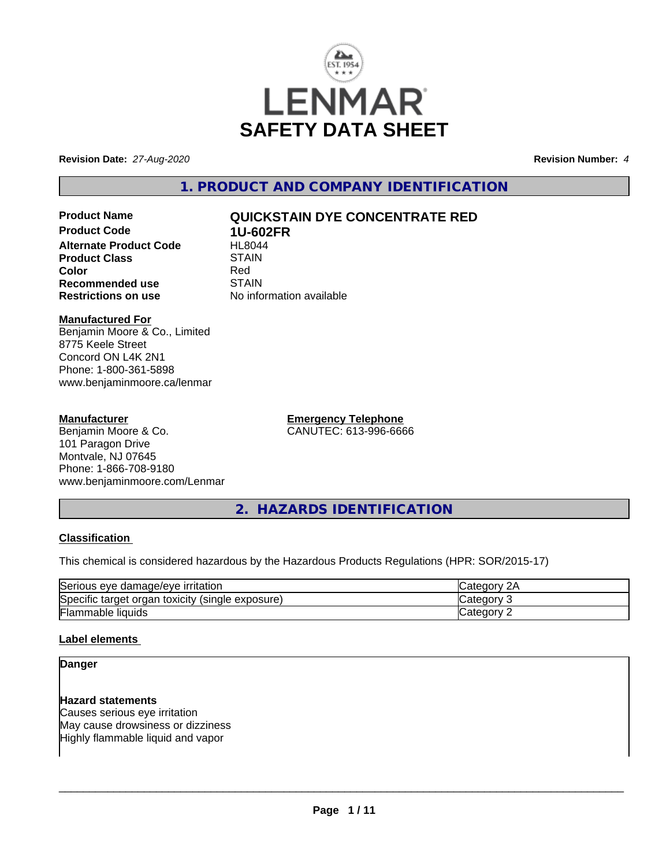

**Revision Date:** *27-Aug-2020* **Revision Number:** *4*

**1. PRODUCT AND COMPANY IDENTIFICATION**

**Product Code 1U-602FR Alternate Product Code FIL8044**<br>Product Class STAIN **Product Class** STAIN STAIN STAIN STAIN Red **Color** Red **Recommended use** STAIN<br> **Restrictions on use** No info

# **Product Name QUICKSTAIN DYE CONCENTRATE RED**

**No information available** 

# **Manufactured For**

Benjamin Moore & Co., Limited 8775 Keele Street Concord ON L4K 2N1 Phone: 1-800-361-5898 www.benjaminmoore.ca/lenmar

## **Manufacturer**

Benjamin Moore & Co. 101 Paragon Drive Montvale, NJ 07645 Phone: 1-866-708-9180 www.benjaminmoore.com/Lenmar **Emergency Telephone** CANUTEC: 613-996-6666

**2. HAZARDS IDENTIFICATION**

# **Classification**

This chemical is considered hazardous by the Hazardous Products Regulations (HPR: SOR/2015-17)

| Serious<br>∘ damaɑe/eve<br><b>irritation</b><br>eve          | и.    |
|--------------------------------------------------------------|-------|
| Specific<br>(single exposure)<br>toxicity<br>organ<br>target | аог   |
| Flammable<br><b>liquids</b>                                  | .eaor |

# **Label elements**

# **Danger**

### **Hazard statements**

Causes serious eye irritation May cause drowsiness or dizziness Highly flammable liquid and vapor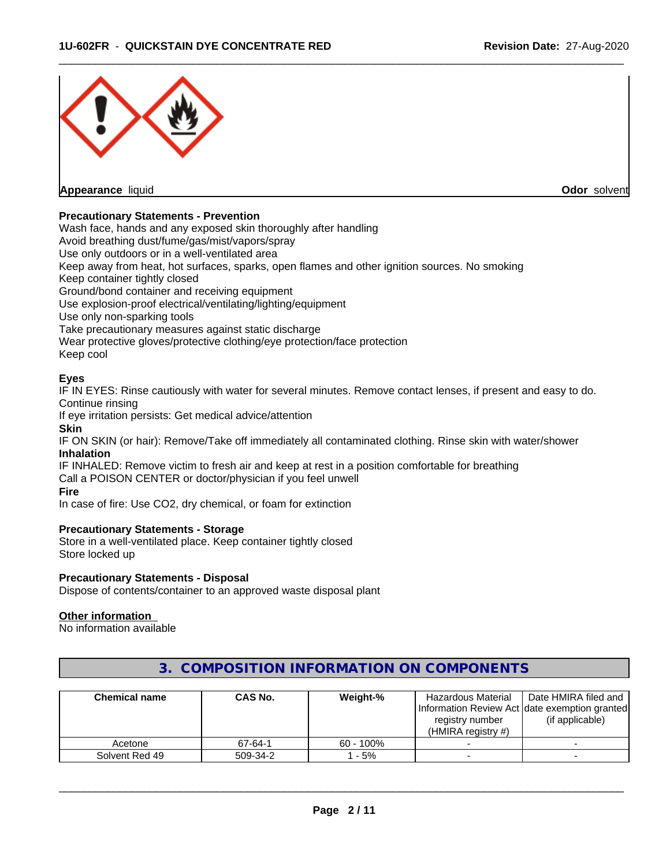

# **Precautionary Statements - Prevention**

Wash face, hands and any exposed skin thoroughly after handling

Avoid breathing dust/fume/gas/mist/vapors/spray

Use only outdoors or in a well-ventilated area

Keep away from heat, hot surfaces, sparks, open flames and other ignition sources. No smoking

Keep container tightly closed

Ground/bond container and receiving equipment

Use explosion-proof electrical/ventilating/lighting/equipment

Use only non-sparking tools

Take precautionary measures against static discharge

Wear protective gloves/protective clothing/eye protection/face protection

Keep cool

## **Eyes**

IF IN EYES: Rinse cautiously with water for several minutes. Remove contact lenses, if present and easy to do. Continue rinsing

If eye irritation persists: Get medical advice/attention

## **Skin**

IF ON SKIN (or hair): Remove/Take off immediately all contaminated clothing. Rinse skin with water/shower **Inhalation**

IF INHALED: Remove victim to fresh air and keep at rest in a position comfortable for breathing Call a POISON CENTER or doctor/physician if you feel unwell

#### **Fire**

In case of fire: Use CO2, dry chemical, or foam for extinction

# **Precautionary Statements - Storage**

Store in a well-ventilated place. Keep container tightly closed Store locked up

#### **Precautionary Statements - Disposal**

Dispose of contents/container to an approved waste disposal plant

#### **Other information**

No information available

| <b>Chemical name</b> | CAS No.  | Weight-%     | Hazardous Material<br>Information Review Act Idate exemption granted<br>registry number<br>(HMIRA registry $#$ ) | Date HMIRA filed and<br>(if applicable) |
|----------------------|----------|--------------|------------------------------------------------------------------------------------------------------------------|-----------------------------------------|
| Acetone              | 67-64-1  | $60 - 100\%$ |                                                                                                                  |                                         |
| Solvent Red 49       | 509-34-2 | - 5%         |                                                                                                                  |                                         |

# **3. COMPOSITION INFORMATION ON COMPONENTS**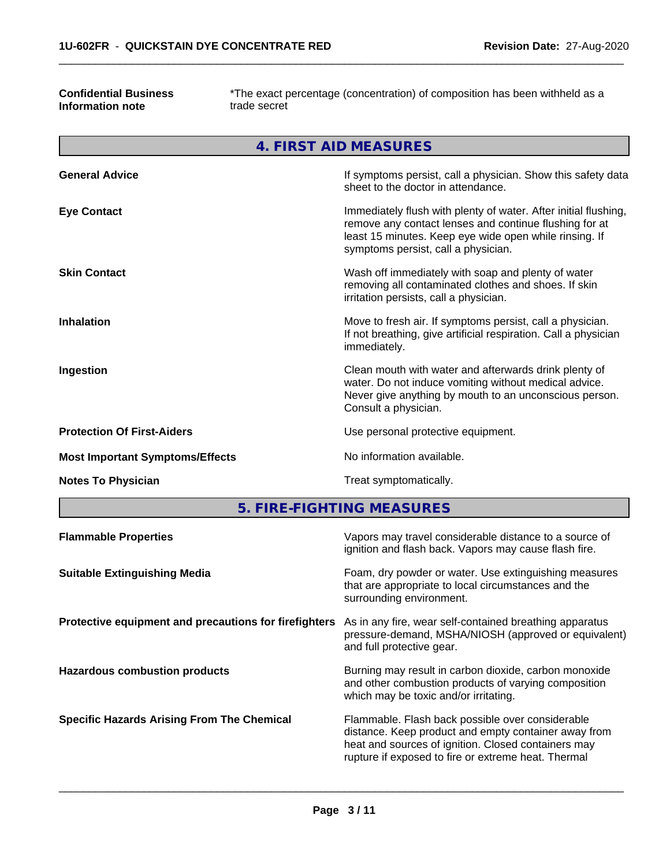## **Confidential Business Information note**

\*The exact percentage (concentration) of composition has been withheld as a trade secret

 $\overline{\phantom{a}}$  ,  $\overline{\phantom{a}}$  ,  $\overline{\phantom{a}}$  ,  $\overline{\phantom{a}}$  ,  $\overline{\phantom{a}}$  ,  $\overline{\phantom{a}}$  ,  $\overline{\phantom{a}}$  ,  $\overline{\phantom{a}}$  ,  $\overline{\phantom{a}}$  ,  $\overline{\phantom{a}}$  ,  $\overline{\phantom{a}}$  ,  $\overline{\phantom{a}}$  ,  $\overline{\phantom{a}}$  ,  $\overline{\phantom{a}}$  ,  $\overline{\phantom{a}}$  ,  $\overline{\phantom{a}}$ 

|                                        | <b>4. FIRST AID MEASURES</b>                                                                                                                                                                                               |
|----------------------------------------|----------------------------------------------------------------------------------------------------------------------------------------------------------------------------------------------------------------------------|
| <b>General Advice</b>                  | If symptoms persist, call a physician. Show this safety data<br>sheet to the doctor in attendance.                                                                                                                         |
| <b>Eye Contact</b>                     | Immediately flush with plenty of water. After initial flushing,<br>remove any contact lenses and continue flushing for at<br>least 15 minutes. Keep eye wide open while rinsing. If<br>symptoms persist, call a physician. |
| <b>Skin Contact</b>                    | Wash off immediately with soap and plenty of water<br>removing all contaminated clothes and shoes. If skin<br>irritation persists, call a physician.                                                                       |
| <b>Inhalation</b>                      | Move to fresh air. If symptoms persist, call a physician.<br>If not breathing, give artificial respiration. Call a physician<br>immediately.                                                                               |
| Ingestion                              | Clean mouth with water and afterwards drink plenty of<br>water. Do not induce vomiting without medical advice.<br>Never give anything by mouth to an unconscious person.<br>Consult a physician.                           |
| <b>Protection Of First-Aiders</b>      | Use personal protective equipment.                                                                                                                                                                                         |
| <b>Most Important Symptoms/Effects</b> | No information available.                                                                                                                                                                                                  |
| <b>Notes To Physician</b>              | Treat symptomatically.                                                                                                                                                                                                     |

**5. FIRE-FIGHTING MEASURES**

| <b>Flammable Properties</b>                           | Vapors may travel considerable distance to a source of<br>ignition and flash back. Vapors may cause flash fire.                                                                                                        |
|-------------------------------------------------------|------------------------------------------------------------------------------------------------------------------------------------------------------------------------------------------------------------------------|
| <b>Suitable Extinguishing Media</b>                   | Foam, dry powder or water. Use extinguishing measures<br>that are appropriate to local circumstances and the<br>surrounding environment.                                                                               |
| Protective equipment and precautions for firefighters | As in any fire, wear self-contained breathing apparatus<br>pressure-demand, MSHA/NIOSH (approved or equivalent)<br>and full protective gear.                                                                           |
| <b>Hazardous combustion products</b>                  | Burning may result in carbon dioxide, carbon monoxide<br>and other combustion products of varying composition<br>which may be toxic and/or irritating.                                                                 |
| <b>Specific Hazards Arising From The Chemical</b>     | Flammable. Flash back possible over considerable<br>distance. Keep product and empty container away from<br>heat and sources of ignition. Closed containers may<br>rupture if exposed to fire or extreme heat. Thermal |
|                                                       |                                                                                                                                                                                                                        |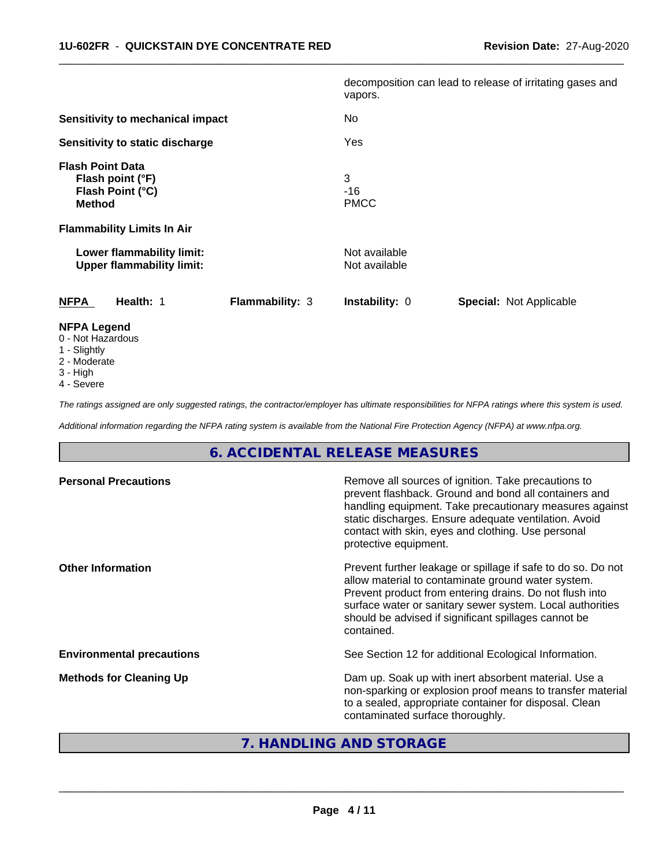|                                                                                  |                 | vapors.                        | decomposition can lead to release of irritating gases and |  |
|----------------------------------------------------------------------------------|-----------------|--------------------------------|-----------------------------------------------------------|--|
| Sensitivity to mechanical impact                                                 |                 | No.                            |                                                           |  |
| Sensitivity to static discharge                                                  |                 | Yes                            |                                                           |  |
| <b>Flash Point Data</b><br>Flash point (°F)<br>Flash Point (°C)<br><b>Method</b> |                 | 3<br>$-16$<br><b>PMCC</b>      |                                                           |  |
| <b>Flammability Limits In Air</b>                                                |                 |                                |                                                           |  |
| Lower flammability limit:<br><b>Upper flammability limit:</b>                    |                 | Not available<br>Not available |                                                           |  |
| <b>NFPA</b><br>Health: 1                                                         | Flammability: 3 | <b>Instability: 0</b>          | <b>Special: Not Applicable</b>                            |  |
| <b>NFPA Legend</b><br>0 - Not Hazardous                                          |                 |                                |                                                           |  |

 $\overline{\phantom{a}}$  ,  $\overline{\phantom{a}}$  ,  $\overline{\phantom{a}}$  ,  $\overline{\phantom{a}}$  ,  $\overline{\phantom{a}}$  ,  $\overline{\phantom{a}}$  ,  $\overline{\phantom{a}}$  ,  $\overline{\phantom{a}}$  ,  $\overline{\phantom{a}}$  ,  $\overline{\phantom{a}}$  ,  $\overline{\phantom{a}}$  ,  $\overline{\phantom{a}}$  ,  $\overline{\phantom{a}}$  ,  $\overline{\phantom{a}}$  ,  $\overline{\phantom{a}}$  ,  $\overline{\phantom{a}}$ 

- 1 Slightly
- 2 Moderate
- 3 High
- 
- 4 Severe

*The ratings assigned are only suggested ratings, the contractor/employer has ultimate responsibilities for NFPA ratings where this system is used.*

*Additional information regarding the NFPA rating system is available from the National Fire Protection Agency (NFPA) at www.nfpa.org.*

# **6. ACCIDENTAL RELEASE MEASURES**

| <b>Personal Precautions</b>      | Remove all sources of ignition. Take precautions to<br>prevent flashback. Ground and bond all containers and<br>handling equipment. Take precautionary measures against<br>static discharges. Ensure adequate ventilation. Avoid<br>contact with skin, eyes and clothing. Use personal<br>protective equipment.  |
|----------------------------------|------------------------------------------------------------------------------------------------------------------------------------------------------------------------------------------------------------------------------------------------------------------------------------------------------------------|
| <b>Other Information</b>         | Prevent further leakage or spillage if safe to do so. Do not<br>allow material to contaminate ground water system.<br>Prevent product from entering drains. Do not flush into<br>surface water or sanitary sewer system. Local authorities<br>should be advised if significant spillages cannot be<br>contained. |
| <b>Environmental precautions</b> | See Section 12 for additional Ecological Information.                                                                                                                                                                                                                                                            |
| <b>Methods for Cleaning Up</b>   | Dam up. Soak up with inert absorbent material. Use a<br>non-sparking or explosion proof means to transfer material<br>to a sealed, appropriate container for disposal. Clean<br>contaminated surface thoroughly.                                                                                                 |

# **7. HANDLING AND STORAGE**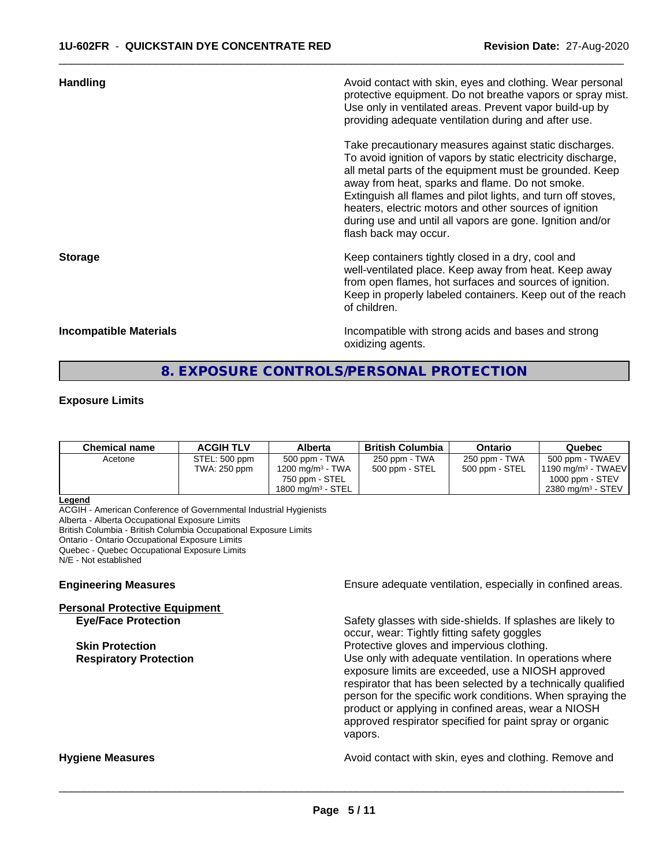| <b>Handling</b>        | Avoid contact with skin, eyes and clothing. Wear personal<br>protective equipment. Do not breathe vapors or spray mist.<br>Use only in ventilated areas. Prevent vapor build-up by<br>providing adequate ventilation during and after use.                                                                                                                                                                                                           |
|------------------------|------------------------------------------------------------------------------------------------------------------------------------------------------------------------------------------------------------------------------------------------------------------------------------------------------------------------------------------------------------------------------------------------------------------------------------------------------|
|                        | Take precautionary measures against static discharges.<br>To avoid ignition of vapors by static electricity discharge,<br>all metal parts of the equipment must be grounded. Keep<br>away from heat, sparks and flame. Do not smoke.<br>Extinguish all flames and pilot lights, and turn off stoves,<br>heaters, electric motors and other sources of ignition<br>during use and until all vapors are gone. Ignition and/or<br>flash back may occur. |
| <b>Storage</b>         | Keep containers tightly closed in a dry, cool and<br>well-ventilated place. Keep away from heat. Keep away<br>from open flames, hot surfaces and sources of ignition.<br>Keep in properly labeled containers. Keep out of the reach<br>of children.                                                                                                                                                                                                  |
| Incompatible Materials | Incompatible with strong acids and bases and strong                                                                                                                                                                                                                                                                                                                                                                                                  |

 $\overline{\phantom{a}}$  ,  $\overline{\phantom{a}}$  ,  $\overline{\phantom{a}}$  ,  $\overline{\phantom{a}}$  ,  $\overline{\phantom{a}}$  ,  $\overline{\phantom{a}}$  ,  $\overline{\phantom{a}}$  ,  $\overline{\phantom{a}}$  ,  $\overline{\phantom{a}}$  ,  $\overline{\phantom{a}}$  ,  $\overline{\phantom{a}}$  ,  $\overline{\phantom{a}}$  ,  $\overline{\phantom{a}}$  ,  $\overline{\phantom{a}}$  ,  $\overline{\phantom{a}}$  ,  $\overline{\phantom{a}}$ 

**Incompatible Materials** Incompatible with strong acids and bases and strong oxidizing agents.

# **8. EXPOSURE CONTROLS/PERSONAL PROTECTION**

#### **Exposure Limits**

| <b>Chemical name</b> | <b>ACGIH TLV</b> | Alberta                      | <b>British Columbia</b> | <b>Ontario</b> | Quebec                          |
|----------------------|------------------|------------------------------|-------------------------|----------------|---------------------------------|
| Acetone              | STEL: 500 ppm    | 500 ppm - TWA                | 250 ppm - TWA           | 250 ppm - TWA  | 500 ppm - TWAEV                 |
|                      | TWA: 250 ppm     | 1200 mg/m <sup>3</sup> - TWA | 500 ppm - STEL          | 500 ppm - STEL | $1190 \text{ mg/m}^3$ - TWAEV   |
|                      |                  | 750 ppm - STEL               |                         |                | 1000 ppm - $STEV$               |
|                      |                  | $1800 \text{ ma/m}^3$ - STEL |                         |                | $2380$ mg/m <sup>3</sup> - STEV |

#### **Legend**

ACGIH - American Conference of Governmental Industrial Hygienists Alberta - Alberta Occupational Exposure Limits British Columbia - British Columbia Occupational Exposure Limits Ontario - Ontario Occupational Exposure Limits Quebec - Quebec Occupational Exposure Limits N/E - Not established

**Personal Protective Equipment**

**Engineering Measures Ensure** Ensure adequate ventilation, especially in confined areas.

Safety glasses with side-shields. If splashes are likely to occur, wear: Tightly fitting safety goggles **Skin Protection Protection Protective gloves and impervious clothing. Respiratory Protection Exercise 2018** Use only with adequate ventilation. In operations where exposure limits are exceeded, use a NIOSH approved respirator that has been selected by a technically qualified person for the specific work conditions. When spraying the product or applying in confined areas, wear a NIOSH approved respirator specified for paint spray or organic vapors.

**Hygiene Measures Avoid contact with skin, eyes and clothing. Remove and Hygiene Measures** and clothing. Remove and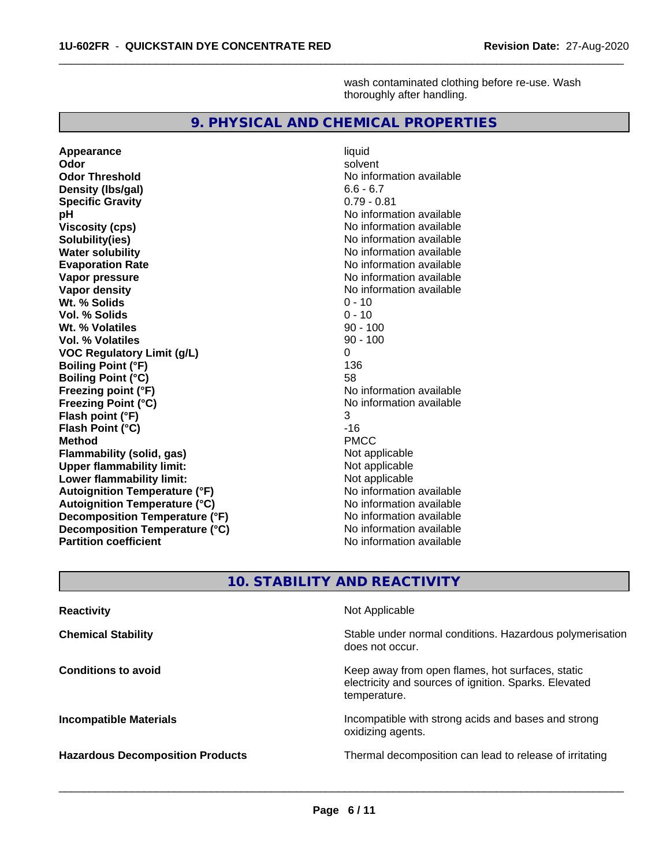wash contaminated clothing before re-use. Wash thoroughly after handling.

# **9. PHYSICAL AND CHEMICAL PROPERTIES**

 $\overline{\phantom{a}}$  ,  $\overline{\phantom{a}}$  ,  $\overline{\phantom{a}}$  ,  $\overline{\phantom{a}}$  ,  $\overline{\phantom{a}}$  ,  $\overline{\phantom{a}}$  ,  $\overline{\phantom{a}}$  ,  $\overline{\phantom{a}}$  ,  $\overline{\phantom{a}}$  ,  $\overline{\phantom{a}}$  ,  $\overline{\phantom{a}}$  ,  $\overline{\phantom{a}}$  ,  $\overline{\phantom{a}}$  ,  $\overline{\phantom{a}}$  ,  $\overline{\phantom{a}}$  ,  $\overline{\phantom{a}}$ 

**Appearance** liquid **Odor** solvent **Odor Threshold** No information available **Density (Ibs/gal)** 6.6 - 6.7<br> **Specific Gravity** 6.79 - 0.81 **Specific Gravity pH pH**  $\blacksquare$ **Viscosity (cps)** No information available **Solubility(ies)**<br> **No information available**<br> **Water solubility**<br> **Water solubility Water solubility**<br> **Evaporation Rate**<br> **Evaporation Rate**<br> **Evaporation Rate Vapor pressure**<br> **Vapor density**<br> **Vapor density**<br> **Vapor density**<br> **Vapor density** Wt. % Solids **Vol. % Solids** 0 - 10 **Wt. % Volatiles** 90 - 100 **Vol. % Volatiles VOC Regulatory Limit (g/L)** 0 **Boiling Point (°F) Boiling Point (°C)** 58 **Freezing point (°F)**<br> **Freezing Point (°C)**<br> **Freezing Point (°C)**<br> **No** information available **Freezing Point (°C) Flash point (°F)** 3 **Flash Point (°C)** -16<br> **Method** -16<br>
PMCC **Method** PMCC **Flammability (solid, gas)** Not applicable **Upper flammability limit:**<br> **Lower flammability limit:** Not applicable Not applicable **Lower flammability limit: Autoignition Temperature (°F)** No information available **Autoignition Temperature (°C)**<br> **Decomposition Temperature (°F)** No information available **Decomposition Temperature (°F) Decomposition Temperature (°C)**<br> **Partition coefficient**<br> **Partition coefficient**<br> **No** information available **Partition coefficient** 

**Evaporation Rate** No information available **No information available**<br>0 - 10

# **10. STABILITY AND REACTIVITY**

| <b>Reactivity</b>                       | Not Applicable                                                                                                            |
|-----------------------------------------|---------------------------------------------------------------------------------------------------------------------------|
| <b>Chemical Stability</b>               | Stable under normal conditions. Hazardous polymerisation<br>does not occur.                                               |
| <b>Conditions to avoid</b>              | Keep away from open flames, hot surfaces, static<br>electricity and sources of ignition. Sparks. Elevated<br>temperature. |
| <b>Incompatible Materials</b>           | Incompatible with strong acids and bases and strong<br>oxidizing agents.                                                  |
| <b>Hazardous Decomposition Products</b> | Thermal decomposition can lead to release of irritating                                                                   |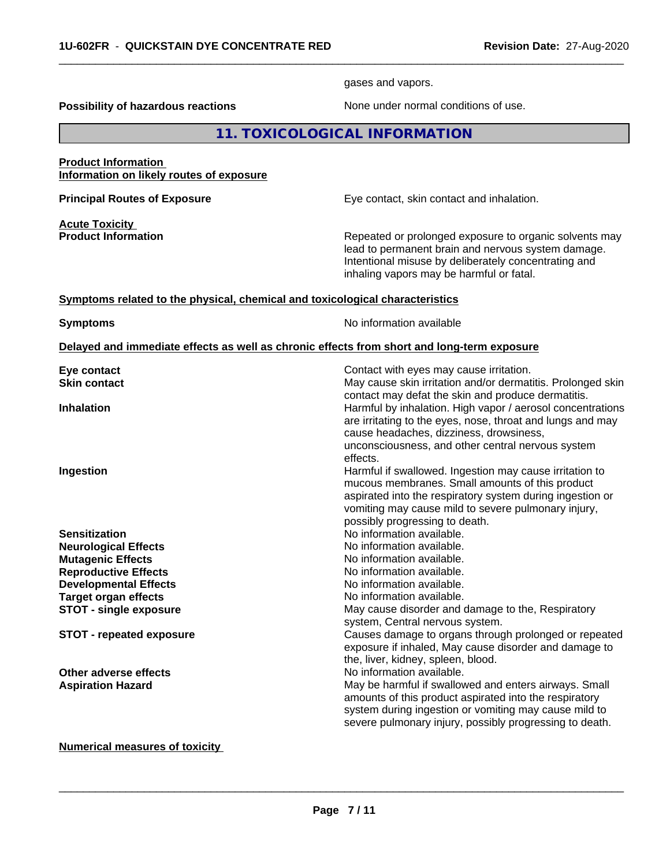gases and vapors.

 $\overline{\phantom{a}}$  ,  $\overline{\phantom{a}}$  ,  $\overline{\phantom{a}}$  ,  $\overline{\phantom{a}}$  ,  $\overline{\phantom{a}}$  ,  $\overline{\phantom{a}}$  ,  $\overline{\phantom{a}}$  ,  $\overline{\phantom{a}}$  ,  $\overline{\phantom{a}}$  ,  $\overline{\phantom{a}}$  ,  $\overline{\phantom{a}}$  ,  $\overline{\phantom{a}}$  ,  $\overline{\phantom{a}}$  ,  $\overline{\phantom{a}}$  ,  $\overline{\phantom{a}}$  ,  $\overline{\phantom{a}}$ 

**Possibility of hazardous reactions** None under normal conditions of use.

| 11. TOXICOLOGICAL INFORMATION |
|-------------------------------|
|-------------------------------|

#### **Product Information Information on likely routes of exposure**

**Acute Toxicity<br>Product Information** 

**Principal Routes of Exposure Exposure** Eye contact, skin contact and inhalation.

Repeated or prolonged exposure to organic solvents may lead to permanent brain and nervous system damage. Intentional misuse by deliberately concentrating and inhaling vapors may be harmful or fatal.

## **Symptoms related to the physical,chemical and toxicological characteristics**

**Symptoms** No information available

#### **Delayed and immediate effects as well as chronic effects from short and long-term exposure**

| contact may defat the skin and produce dermatitis.<br>Harmful by inhalation. High vapor / aerosol concentrations<br><b>Inhalation</b>                                                                                                                                         |
|-------------------------------------------------------------------------------------------------------------------------------------------------------------------------------------------------------------------------------------------------------------------------------|
| are irritating to the eyes, nose, throat and lungs and may<br>cause headaches, dizziness, drowsiness,<br>unconsciousness, and other central nervous system<br>effects.                                                                                                        |
| Harmful if swallowed. Ingestion may cause irritation to<br>Ingestion<br>mucous membranes. Small amounts of this product<br>aspirated into the respiratory system during ingestion or<br>vomiting may cause mild to severe pulmonary injury,<br>possibly progressing to death. |
| No information available.<br><b>Sensitization</b>                                                                                                                                                                                                                             |
| No information available.<br><b>Neurological Effects</b>                                                                                                                                                                                                                      |
| No information available.<br><b>Mutagenic Effects</b>                                                                                                                                                                                                                         |
| <b>Reproductive Effects</b><br>No information available.                                                                                                                                                                                                                      |
| No information available.<br><b>Developmental Effects</b>                                                                                                                                                                                                                     |
| No information available.<br><b>Target organ effects</b>                                                                                                                                                                                                                      |
| May cause disorder and damage to the, Respiratory<br><b>STOT - single exposure</b><br>system, Central nervous system.                                                                                                                                                         |
| Causes damage to organs through prolonged or repeated<br><b>STOT - repeated exposure</b><br>exposure if inhaled, May cause disorder and damage to<br>the, liver, kidney, spleen, blood.                                                                                       |
| No information available.<br>Other adverse effects                                                                                                                                                                                                                            |
| May be harmful if swallowed and enters airways. Small<br><b>Aspiration Hazard</b><br>amounts of this product aspirated into the respiratory<br>system during ingestion or vomiting may cause mild to<br>severe pulmonary injury, possibly progressing to death.               |

# **Numerical measures of toxicity**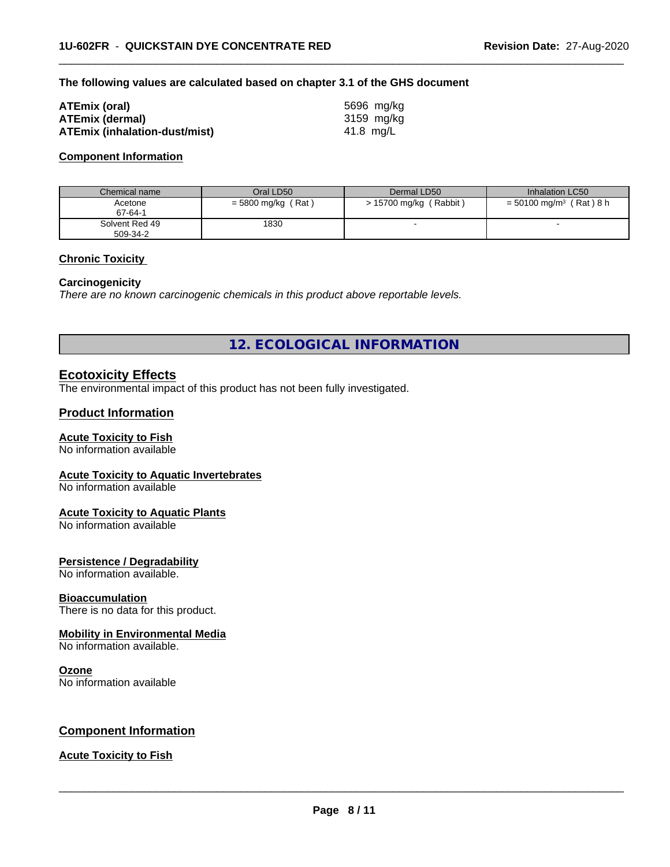#### **The following values are calculated based on chapter 3.1 of the GHS document**

| ATEmix (oral)                 | 5696 mg/ka |
|-------------------------------|------------|
| <b>ATEmix (dermal)</b>        | 3159 mg/kg |
| ATEmix (inhalation-dust/mist) | 41.8 ma/L  |

#### **Component Information**

| Chemical name              | Oral LD50            | Dermal LD50              | Inhalation LC50                       |
|----------------------------|----------------------|--------------------------|---------------------------------------|
| Acetone<br>67-64-1         | $=$ 5800 mg/kg (Rat) | $> 15700$ mg/kg (Rabbit) | $= 50100$ mg/m <sup>3</sup> (Rat) 8 h |
| Solvent Red 49<br>509-34-2 | 1830                 |                          |                                       |

 $\overline{\phantom{a}}$  ,  $\overline{\phantom{a}}$  ,  $\overline{\phantom{a}}$  ,  $\overline{\phantom{a}}$  ,  $\overline{\phantom{a}}$  ,  $\overline{\phantom{a}}$  ,  $\overline{\phantom{a}}$  ,  $\overline{\phantom{a}}$  ,  $\overline{\phantom{a}}$  ,  $\overline{\phantom{a}}$  ,  $\overline{\phantom{a}}$  ,  $\overline{\phantom{a}}$  ,  $\overline{\phantom{a}}$  ,  $\overline{\phantom{a}}$  ,  $\overline{\phantom{a}}$  ,  $\overline{\phantom{a}}$ 

### **Chronic Toxicity**

#### **Carcinogenicity**

*There are no known carcinogenic chemicals in this product above reportable levels.*

**12. ECOLOGICAL INFORMATION**

# **Ecotoxicity Effects**

The environmental impact of this product has not been fully investigated.

## **Product Information**

#### **Acute Toxicity to Fish**

No information available

#### **Acute Toxicity to Aquatic Invertebrates**

No information available

#### **Acute Toxicity to Aquatic Plants**

No information available

## **Persistence / Degradability**

No information available.

#### **Bioaccumulation**

There is no data for this product.

## **Mobility in Environmental Media**

No information available.

#### **Ozone**

No information available

# **Component Information**

### **Acute Toxicity to Fish**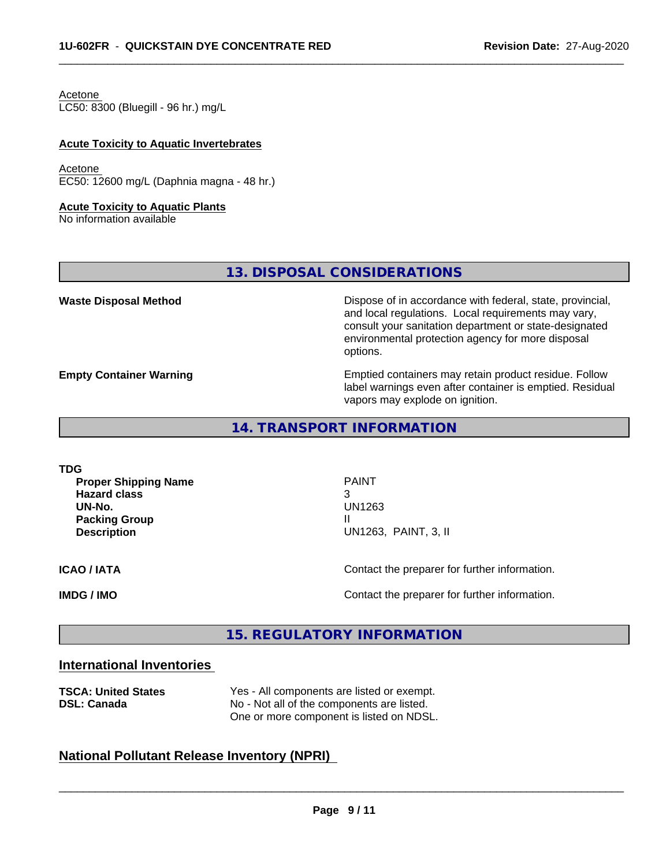Acetone

LC50: 8300 (Bluegill - 96 hr.) mg/L

### **Acute Toxicity to Aquatic Invertebrates**

Acetone EC50: 12600 mg/L (Daphnia magna - 48 hr.)

#### **Acute Toxicity to Aquatic Plants**

No information available

**13. DISPOSAL CONSIDERATIONS**

**Waste Disposal Method Dispose of in accordance with federal, state, provincial,** and local regulations. Local requirements may vary, consult your sanitation department or state-designated environmental protection agency for more disposal options.

**Empty Container Warning <b>Emptied** Containers may retain product residue. Follow label warnings even after container is emptied. Residual vapors may explode on ignition.

# **14. TRANSPORT INFORMATION**

**TDG**

**Proper Shipping Name PAINT Hazard class** 3 **UN-No.** UN1263 **Packing Group III Description** UN1263, PAINT, 3, II

 $\overline{\phantom{a}}$  ,  $\overline{\phantom{a}}$  ,  $\overline{\phantom{a}}$  ,  $\overline{\phantom{a}}$  ,  $\overline{\phantom{a}}$  ,  $\overline{\phantom{a}}$  ,  $\overline{\phantom{a}}$  ,  $\overline{\phantom{a}}$  ,  $\overline{\phantom{a}}$  ,  $\overline{\phantom{a}}$  ,  $\overline{\phantom{a}}$  ,  $\overline{\phantom{a}}$  ,  $\overline{\phantom{a}}$  ,  $\overline{\phantom{a}}$  ,  $\overline{\phantom{a}}$  ,  $\overline{\phantom{a}}$ 

 $\overline{\phantom{a}}$  ,  $\overline{\phantom{a}}$  ,  $\overline{\phantom{a}}$  ,  $\overline{\phantom{a}}$  ,  $\overline{\phantom{a}}$  ,  $\overline{\phantom{a}}$  ,  $\overline{\phantom{a}}$  ,  $\overline{\phantom{a}}$  ,  $\overline{\phantom{a}}$  ,  $\overline{\phantom{a}}$  ,  $\overline{\phantom{a}}$  ,  $\overline{\phantom{a}}$  ,  $\overline{\phantom{a}}$  ,  $\overline{\phantom{a}}$  ,  $\overline{\phantom{a}}$  ,  $\overline{\phantom{a}}$ 

**ICAO / IATA ICAO / IATA Contact the preparer for further information.** 

**IMDG / IMO Contact the preparer for further information.** 

# **15. REGULATORY INFORMATION**

# **International Inventories**

| <b>TSCA: United States</b> | Yes - All components are listed or exempt. |  |  |
|----------------------------|--------------------------------------------|--|--|
| <b>DSL: Canada</b>         | No - Not all of the components are listed. |  |  |
|                            | One or more component is listed on NDSL.   |  |  |

# **National Pollutant Release Inventory (NPRI)**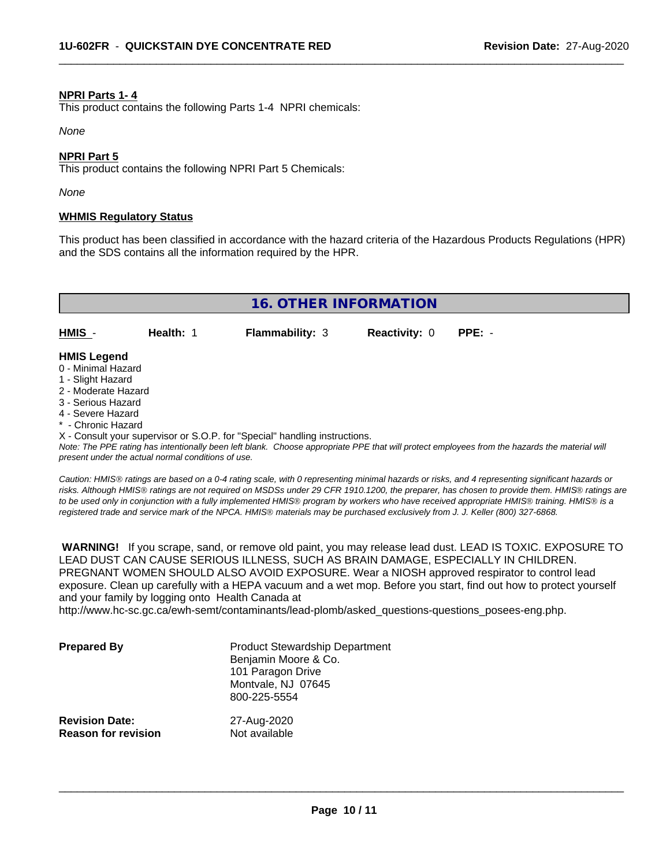#### **NPRI Parts 1- 4**

This product contains the following Parts 1-4 NPRI chemicals:

*None*

### **NPRI Part 5**

This product contains the following NPRI Part 5 Chemicals:

*None*

### **WHMIS Regulatory Status**

This product has been classified in accordance with the hazard criteria of the Hazardous Products Regulations (HPR) and the SDS contains all the information required by the HPR.

 $\overline{\phantom{a}}$  ,  $\overline{\phantom{a}}$  ,  $\overline{\phantom{a}}$  ,  $\overline{\phantom{a}}$  ,  $\overline{\phantom{a}}$  ,  $\overline{\phantom{a}}$  ,  $\overline{\phantom{a}}$  ,  $\overline{\phantom{a}}$  ,  $\overline{\phantom{a}}$  ,  $\overline{\phantom{a}}$  ,  $\overline{\phantom{a}}$  ,  $\overline{\phantom{a}}$  ,  $\overline{\phantom{a}}$  ,  $\overline{\phantom{a}}$  ,  $\overline{\phantom{a}}$  ,  $\overline{\phantom{a}}$ 

| <b>16. OTHER INFORMATION</b>                                  |           |                        |                      |          |  |  |  |
|---------------------------------------------------------------|-----------|------------------------|----------------------|----------|--|--|--|
| HMIS -                                                        | Health: 1 | <b>Flammability: 3</b> | <b>Reactivity: 0</b> | $PPE: -$ |  |  |  |
| <b>HMIS Legend</b><br>0 - Minimal Hazard<br>1 - Slight Hazard |           |                        |                      |          |  |  |  |

- 2 Moderate Hazard
- 3 Serious Hazard
- 4 Severe Hazard
- \* Chronic Hazard

X - Consult your supervisor or S.O.P. for "Special" handling instructions.

*Note: The PPE rating has intentionally been left blank. Choose appropriate PPE that will protect employees from the hazards the material will present under the actual normal conditions of use.*

*Caution: HMISÒ ratings are based on a 0-4 rating scale, with 0 representing minimal hazards or risks, and 4 representing significant hazards or risks. Although HMISÒ ratings are not required on MSDSs under 29 CFR 1910.1200, the preparer, has chosen to provide them. HMISÒ ratings are to be used only in conjunction with a fully implemented HMISÒ program by workers who have received appropriate HMISÒ training. HMISÒ is a registered trade and service mark of the NPCA. HMISÒ materials may be purchased exclusively from J. J. Keller (800) 327-6868.*

 **WARNING!** If you scrape, sand, or remove old paint, you may release lead dust. LEAD IS TOXIC. EXPOSURE TO LEAD DUST CAN CAUSE SERIOUS ILLNESS, SUCH AS BRAIN DAMAGE, ESPECIALLY IN CHILDREN. PREGNANT WOMEN SHOULD ALSO AVOID EXPOSURE.Wear a NIOSH approved respirator to control lead exposure. Clean up carefully with a HEPA vacuum and a wet mop. Before you start, find out how to protect yourself and your family by logging onto Health Canada at

http://www.hc-sc.gc.ca/ewh-semt/contaminants/lead-plomb/asked\_questions-questions\_posees-eng.php.

| <b>Prepared By</b>                                  | <b>Product Stewardship Department</b><br>Benjamin Moore & Co.<br>101 Paragon Drive<br>Montvale, NJ 07645<br>800-225-5554 |  |
|-----------------------------------------------------|--------------------------------------------------------------------------------------------------------------------------|--|
| <b>Revision Date:</b><br><b>Reason for revision</b> | 27-Aug-2020<br>Not available                                                                                             |  |